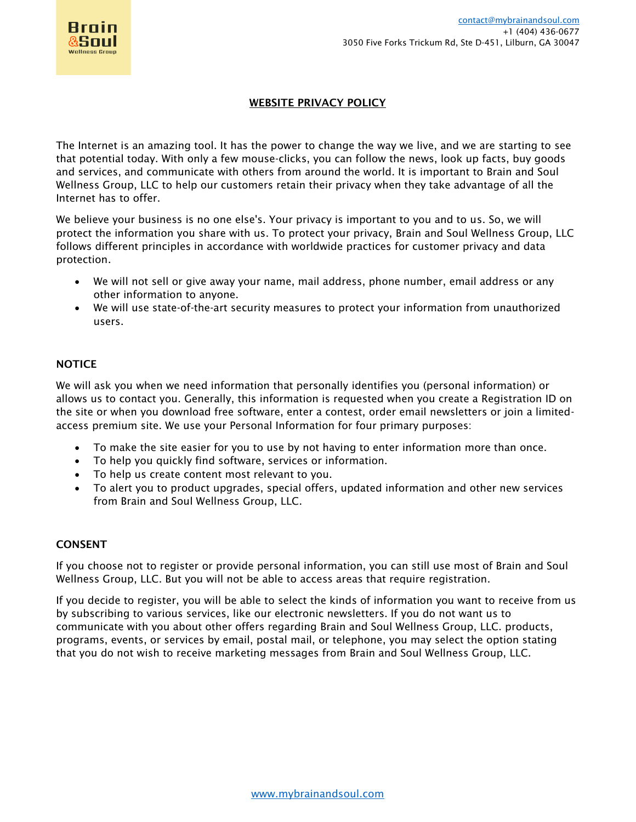

## WEBSITE PRIVACY POLICY

The Internet is an amazing tool. It has the power to change the way we live, and we are starting to see that potential today. With only a few mouse-clicks, you can follow the news, look up facts, buy goods and services, and communicate with others from around the world. It is important to Brain and Soul Wellness Group, LLC to help our customers retain their privacy when they take advantage of all the Internet has to offer.

We believe your business is no one else's. Your privacy is important to you and to us. So, we will protect the information you share with us. To protect your privacy, Brain and Soul Wellness Group, LLC follows different principles in accordance with worldwide practices for customer privacy and data protection.

- We will not sell or give away your name, mail address, phone number, email address or any other information to anyone.
- We will use state-of-the-art security measures to protect your information from unauthorized users.

### **NOTICE**

We will ask you when we need information that personally identifies you (personal information) or allows us to contact you. Generally, this information is requested when you create a Registration ID on the site or when you download free software, enter a contest, order email newsletters or join a limitedaccess premium site. We use your Personal Information for four primary purposes:

- To make the site easier for you to use by not having to enter information more than once.
- To help you quickly find software, services or information.
- To help us create content most relevant to you.
- To alert you to product upgrades, special offers, updated information and other new services from Brain and Soul Wellness Group, LLC.

### CONSENT

If you choose not to register or provide personal information, you can still use most of Brain and Soul Wellness Group, LLC. But you will not be able to access areas that require registration.

If you decide to register, you will be able to select the kinds of information you want to receive from us by subscribing to various services, like our electronic newsletters. If you do not want us to communicate with you about other offers regarding Brain and Soul Wellness Group, LLC. products, programs, events, or services by email, postal mail, or telephone, you may select the option stating that you do not wish to receive marketing messages from Brain and Soul Wellness Group, LLC.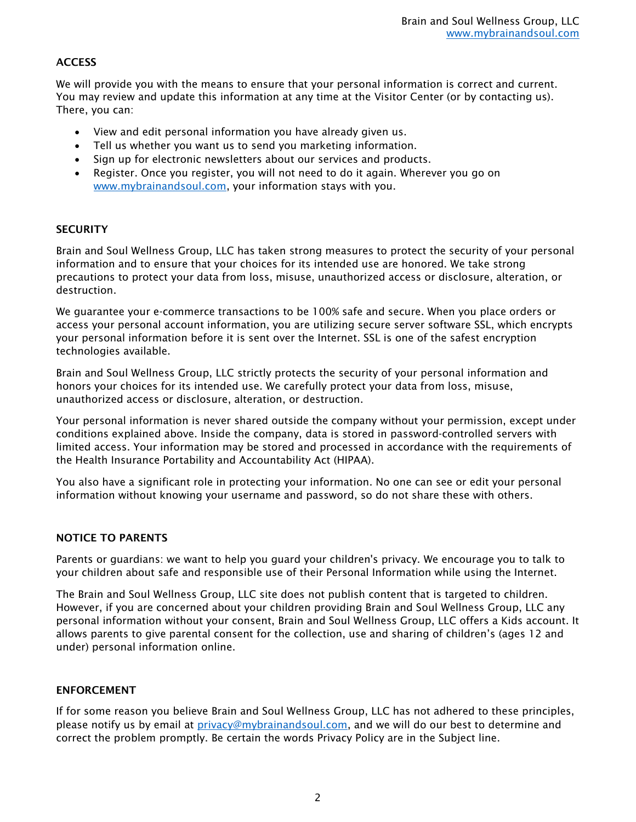# **ACCESS**

We will provide you with the means to ensure that your personal information is correct and current. You may review and update this information at any time at the Visitor Center (or by contacting us). There, you can:

- View and edit personal information you have already given us.
- Tell us whether you want us to send you marketing information.
- Sign up for electronic newsletters about our services and products.
- Register. Once you register, you will not need to do it again. Wherever you go on [www.mybrainandsoul.com,](http://www.mybrainandsoul.com/) your information stays with you.

## **SECURITY**

Brain and Soul Wellness Group, LLC has taken strong measures to protect the security of your personal information and to ensure that your choices for its intended use are honored. We take strong precautions to protect your data from loss, misuse, unauthorized access or disclosure, alteration, or destruction.

We guarantee your e-commerce transactions to be 100% safe and secure. When you place orders or access your personal account information, you are utilizing secure server software SSL, which encrypts your personal information before it is sent over the Internet. SSL is one of the safest encryption technologies available.

Brain and Soul Wellness Group, LLC strictly protects the security of your personal information and honors your choices for its intended use. We carefully protect your data from loss, misuse, unauthorized access or disclosure, alteration, or destruction.

Your personal information is never shared outside the company without your permission, except under conditions explained above. Inside the company, data is stored in password-controlled servers with limited access. Your information may be stored and processed in accordance with the requirements of the Health Insurance Portability and Accountability Act (HIPAA).

You also have a significant role in protecting your information. No one can see or edit your personal information without knowing your username and password, so do not share these with others.

### NOTICE TO PARENTS

Parents or guardians: we want to help you guard your children's privacy. We encourage you to talk to your children about safe and responsible use of their Personal Information while using the Internet.

The Brain and Soul Wellness Group, LLC site does not publish content that is targeted to children. However, if you are concerned about your children providing Brain and Soul Wellness Group, LLC any personal information without your consent, Brain and Soul Wellness Group, LLC offers a Kids account. It allows parents to give parental consent for the collection, use and sharing of children's (ages 12 and under) personal information online.

### ENFORCEMENT

If for some reason you believe Brain and Soul Wellness Group, LLC has not adhered to these principles, please notify us by email at *privacy@mybrainandsoul.com*, and we will do our best to determine and correct the problem promptly. Be certain the words Privacy Policy are in the Subject line.